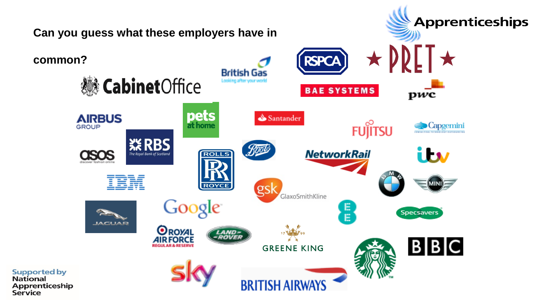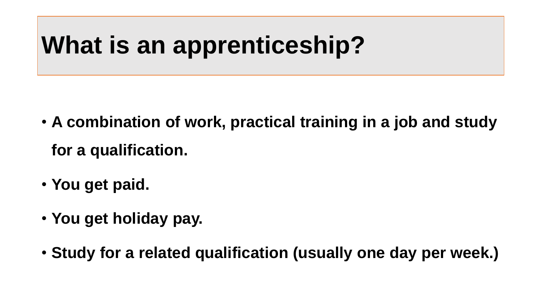# **What is an apprenticeship?**

- **A combination of work, practical training in a job and study for a qualification.**
- **You get paid.**
- **You get holiday pay.**
- **Study for a related qualification (usually one day per week.)**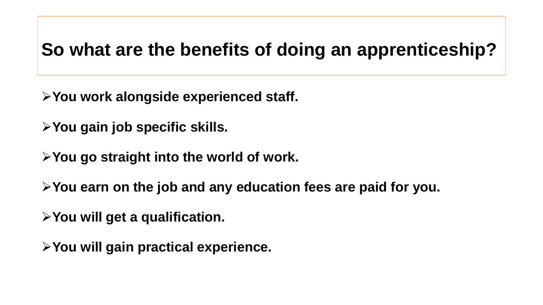#### **So what are the benefits of doing an apprenticeship?**

➢**You work alongside experienced staff.**

➢**You gain job specific skills.**

➢**You go straight into the world of work.**

➢**You earn on the job and any education fees are paid for you.**

➢**You will get a qualification.**

➢**You will gain practical experience.**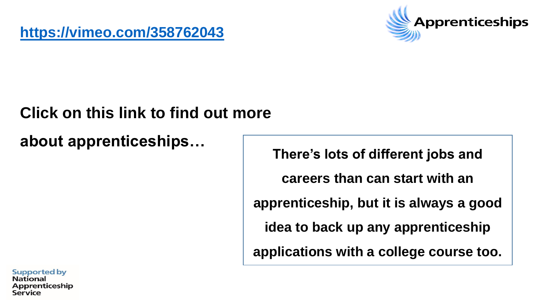

#### **Click on this link to find out more**

**about apprenticeships…**

**There's lots of different jobs and** 

**careers than can start with an** 

**apprenticeship, but it is always a good** 

**idea to back up any apprenticeship** 

**applications with a college course too.**

**Supported by National Apprenticeship**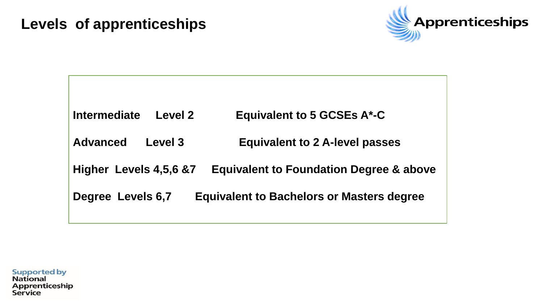#### **Levels of apprenticeships**



| <b>Intermediate</b><br>Level 2                                               | <b>Equivalent to 5 GCSEs A*-C</b>                  |
|------------------------------------------------------------------------------|----------------------------------------------------|
| Level 3<br><b>Advanced</b>                                                   | <b>Equivalent to 2 A-level passes</b>              |
| Higher Levels 4,5,6 &7                                                       | <b>Equivalent to Foundation Degree &amp; above</b> |
| <b>Degree Levels 6,7</b><br><b>Equivalent to Bachelors or Masters degree</b> |                                                    |

**Supported by National** Apprenticeship<br>Service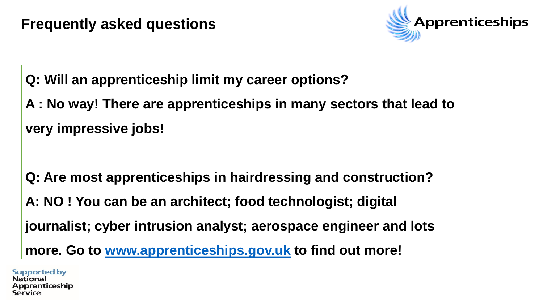

**Q: Will an apprenticeship limit my career options?**

**A : No way! There are apprenticeships in many sectors that lead to very impressive jobs!**

**Q: Are most apprenticeships in hairdressing and construction?**

**A: NO ! You can be an architect; food technologist; digital** 

**journalist; cyber intrusion analyst; aerospace engineer and lots** 

**more. Go to [www.apprenticeships.gov.uk](http://www.apprenticeships.gov.uk/) to find out more!**

**Supported by National** prenticeship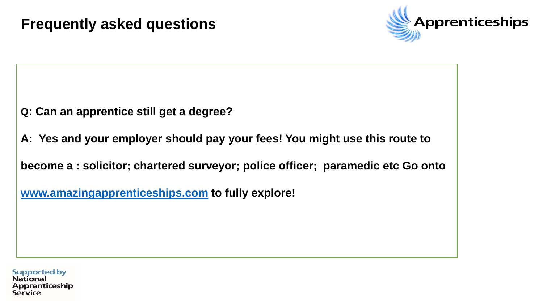

**Q: Can an apprentice still get a degree?**

**A: Yes and your employer should pay your fees! You might use this route to** 

**become a : solicitor; chartered surveyor; police officer; paramedic etc Go onto** 

**[www.amazingapprenticeships.com](http://www.amazingapprenticeships.com/) to fully explore!**

**Supported by National Apprenticeship**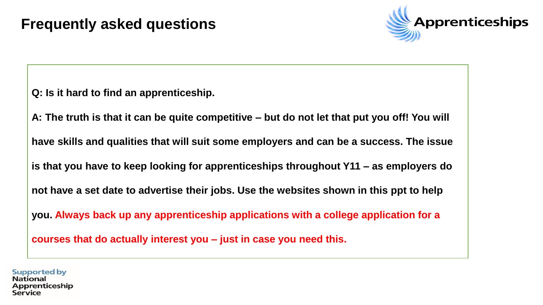

**Q: Is it hard to find an apprenticeship.**

**A: The truth is that it can be quite competitive – but do not let that put you off! You will** 

**have skills and qualities that will suit some employers and can be a success. The issue** 

**is that you have to keep looking for apprenticeships throughout Y11 – as employers do** 

**not have a set date to advertise their jobs. Use the websites shown in this ppt to help** 

**you. Always back up any apprenticeship applications with a college application for a** 

**courses that do actually interest you – just in case you need this.**

#### **Supported by National Apprenticeship**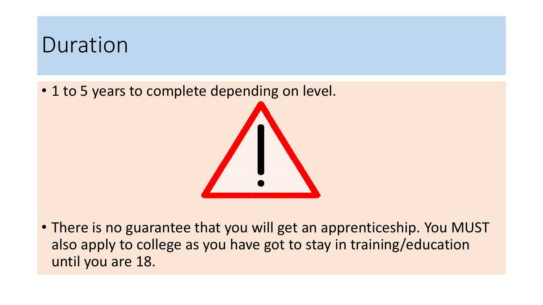#### Duration

• 1 to 5 years to complete depending on level.



• There is no guarantee that you will get an apprenticeship. You MUST also apply to college as you have got to stay in training/education until you are 18.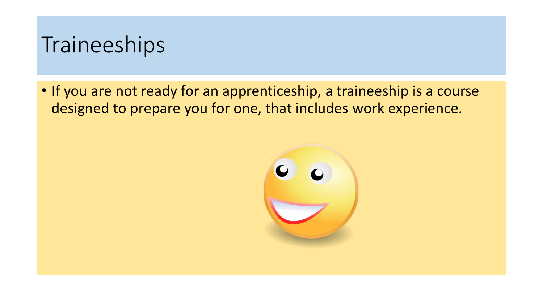#### Traineeships

• If you are not ready for an apprenticeship, a traineeship is a course designed to prepare you for one, that includes work experience.